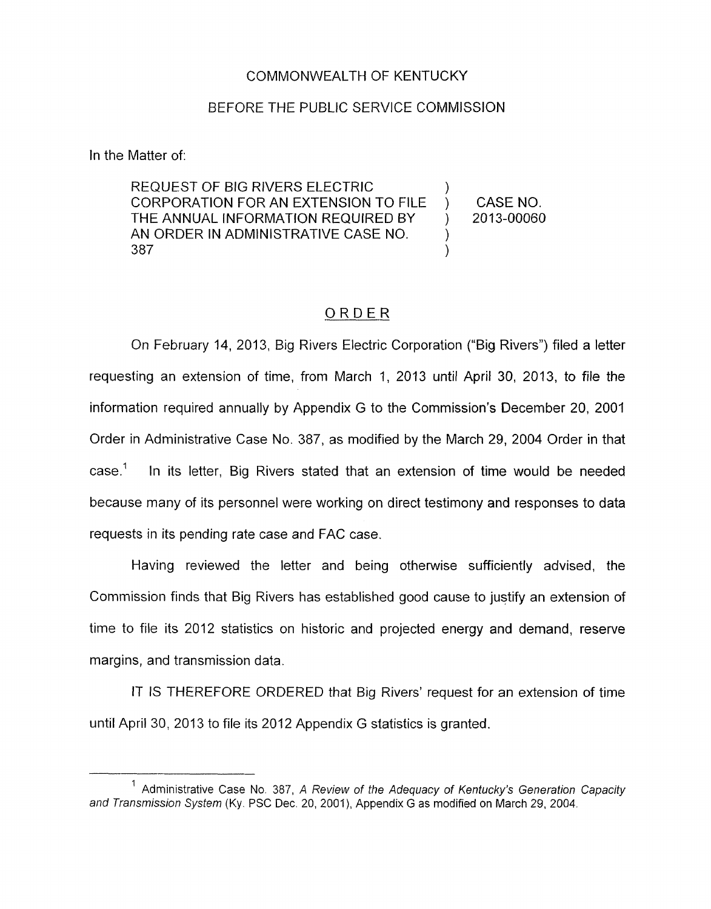## COMMONWEALTH OF KENTUCKY

## BEFORE THE PUBLIC SERVICE COMMISSION

In the Matter of:

REQUEST OF BIG RIVERS ELECTRIC CORPORATION FOR AN EXTENSION TO FILE ) CASE NO. THE ANNUAL INFORMATION REQUIRED BY 2013-00060 AN ORDER IN ADMINISTRATIVE CASE NO.<br>387 387 )

## ORDER

On February 14, 2013, Big Rivers Electric Corporation ("Big Rivers") filed a letter requesting an extension of time, from March 1, 2013 until April 30, 2013, to file the information required annually by Appendix G to the Commission's December 20, 2001 Order in Administrative Case No. 387, as modified by the March 29, 2004 Order in that case.' In its letter, Big Rivers stated that an extension of time would be needed because many of its personnel were working on direct testimony and responses to data requests in its pending rate case and FAC case.

Having reviewed the letter and being otherwise sufficiently advised, the Commission finds that Big Rivers has established good cause to justify an extension of time to file its 2012 statistics on historic and projected energy and demand, reserve margins, and transmission data.

IT IS THEREFORE ORDERED that Big Rivers' request for an extension of time until April 30, 2013 to file its 2012 Appendix G statistics is granted.

<sup>&</sup>lt;sup>1</sup> Administrative Case No. 387, *A Review of the Adequacy of Kentucky's Generation Capacity and Transmission System* (Ky. PSC Dec. 20, 2001), Appendix G as modified on March 29, 2004.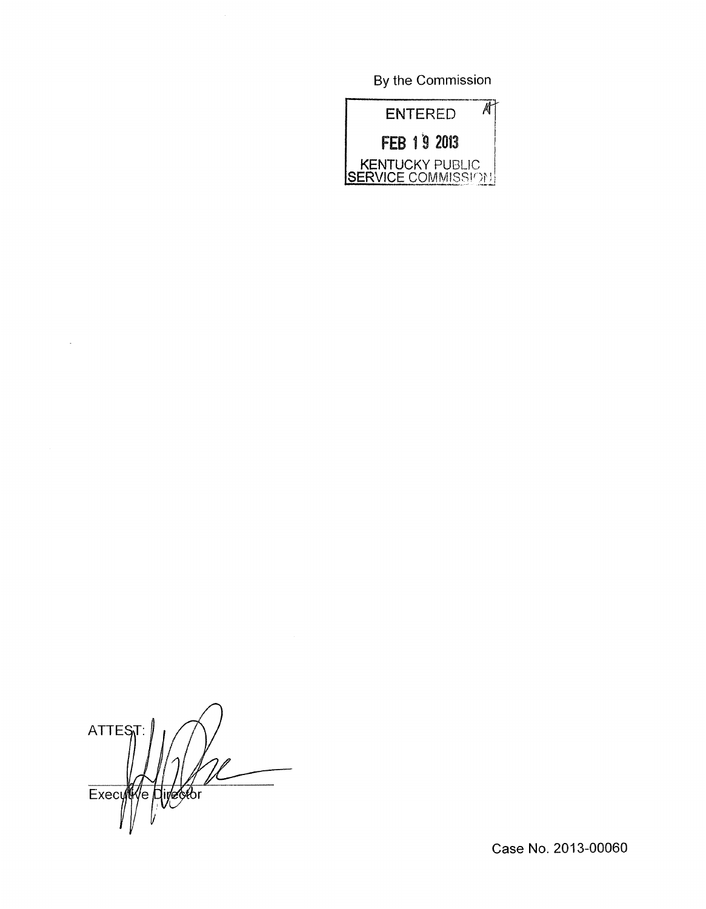By the Commission



**ATTEST** Ve Divector Execy

 $\ddot{\phantom{a}}$ 

Case No. 2013-00060